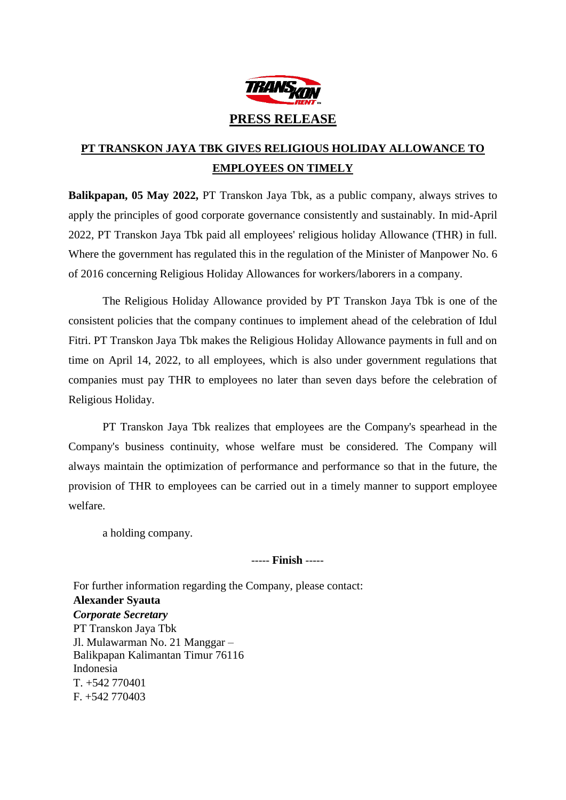

## **PT TRANSKON JAYA TBK GIVES RELIGIOUS HOLIDAY ALLOWANCE TO EMPLOYEES ON TIMELY**

**Balikpapan, 05 May 2022,** PT Transkon Jaya Tbk, as a public company, always strives to apply the principles of good corporate governance consistently and sustainably. In mid-April 2022, PT Transkon Jaya Tbk paid all employees' religious holiday Allowance (THR) in full. Where the government has regulated this in the regulation of the Minister of Manpower No. 6 of 2016 concerning Religious Holiday Allowances for workers/laborers in a company.

The Religious Holiday Allowance provided by PT Transkon Jaya Tbk is one of the consistent policies that the company continues to implement ahead of the celebration of Idul Fitri. PT Transkon Jaya Tbk makes the Religious Holiday Allowance payments in full and on time on April 14, 2022, to all employees, which is also under government regulations that companies must pay THR to employees no later than seven days before the celebration of Religious Holiday.

PT Transkon Jaya Tbk realizes that employees are the Company's spearhead in the Company's business continuity, whose welfare must be considered. The Company will always maintain the optimization of performance and performance so that in the future, the provision of THR to employees can be carried out in a timely manner to support employee welfare.

a holding company.

## ----- **Finish** -----

For further information regarding the Company, please contact: **Alexander Syauta**  *Corporate Secretary*  PT Transkon Jaya Tbk Jl. Mulawarman No. 21 Manggar – Balikpapan Kalimantan Timur 76116 Indonesia T. +542 770401 F. +542 770403